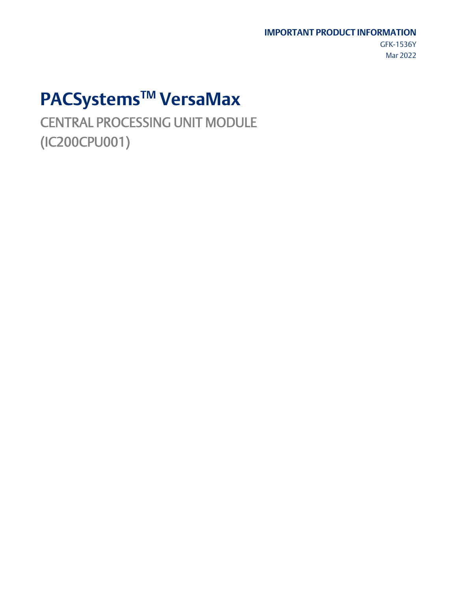#### **IMPORTANT PRODUCT INFORMATION**

GFK-1536Y Mar 2022

# **PACSystemsTM VersaMax**

CENTRAL PROCESSING UNIT MODULE (IC200CPU001)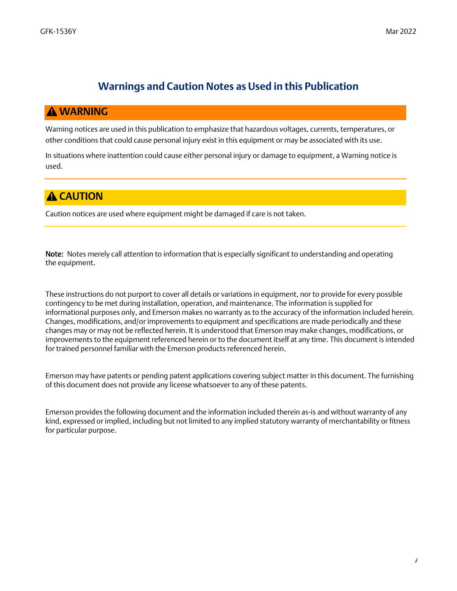#### **Warnings and Caution Notes as Used in this Publication**

#### *WARNING*

Warning notices are used in this publication to emphasize that hazardous voltages, currents, temperatures, or other conditions that could cause personal injury exist in this equipment or may be associated with its use.

In situations where inattention could cause either personal injury or damage to equipment, a Warning notice is used.

#### **A CAUTION**

Caution notices are used where equipment might be damaged if care is not taken.

Note: Notes merely call attention to information that is especially significant to understanding and operating the equipment.

These instructions do not purport to cover all details or variations in equipment, nor to provide for every possible contingency to be met during installation, operation, and maintenance. The information is supplied for informational purposes only, and Emerson makes no warranty as to the accuracy of the information included herein. Changes, modifications, and/or improvements to equipment and specifications are made periodically and these changes may or may not be reflected herein. It is understood that Emerson may make changes, modifications, or improvements to the equipment referenced herein or to the document itself at any time. This document is intended for trained personnel familiar with the Emerson products referenced herein.

Emerson may have patents or pending patent applications covering subject matter in this document. The furnishing of this document does not provide any license whatsoever to any of these patents.

Emerson provides the following document and the information included therein as-is and without warranty of any kind, expressed or implied, including but not limited to any implied statutory warranty of merchantability or fitness for particular purpose.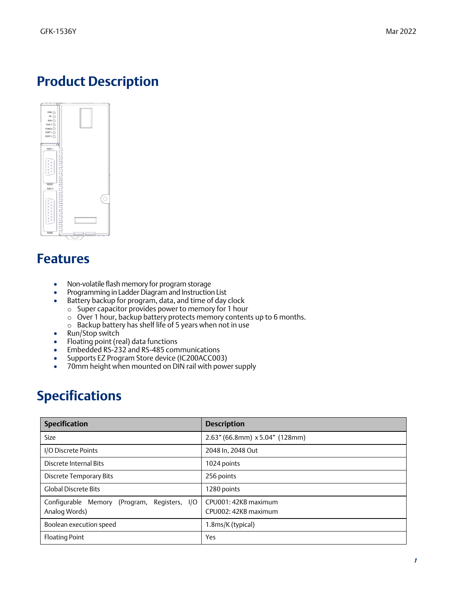### *Product Description*



## *Features*

- Non-volatile flash memory for program storage
- Programming in Ladder Diagram and Instruction List
- Battery backup for program, data, and time of day clock
	- o Super capacitor provides power to memory for 1 hour
	- o Over 1 hour, backup battery protects memory contents up to 6 months.
	- o Backup battery has shelf life of 5 years when not in use
- Run/Stop switch
- Floating point (real) data functions
- Embedded RS-232 and RS-485 communications
- Supports EZ Program Store device (IC200ACC003)
- 70mm height when mounted on DIN rail with power supply

## *Specifications*

| <b>Specification</b>                                             | <b>Description</b>                           |
|------------------------------------------------------------------|----------------------------------------------|
| <b>Size</b>                                                      | $2.63$ " (66.8mm) x 5.04" (128mm)            |
| I/O Discrete Points                                              | 2048 In, 2048 Out                            |
| Discrete Internal Bits                                           | 1024 points                                  |
| <b>Discrete Temporary Bits</b>                                   | 256 points                                   |
| <b>Global Discrete Bits</b>                                      | 1280 points                                  |
| Configurable Memory (Program, Registers,<br>I/O<br>Analog Words) | CPU001: 42KB maximum<br>CPU002: 42KB maximum |
| Boolean execution speed                                          | 1.8ms/K (typical)                            |
| <b>Floating Point</b>                                            | Yes                                          |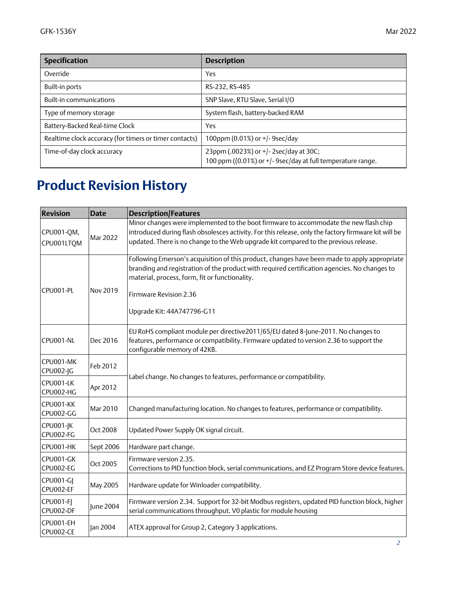| <b>Specification</b>                                   | <b>Description</b>                                                                                   |  |  |
|--------------------------------------------------------|------------------------------------------------------------------------------------------------------|--|--|
| Override                                               | Yes                                                                                                  |  |  |
| Built-in ports                                         | RS-232, RS-485                                                                                       |  |  |
| <b>Built-in communications</b>                         | SNP Slave, RTU Slave, Serial I/O                                                                     |  |  |
| Type of memory storage                                 | System flash, battery-backed RAM                                                                     |  |  |
| Battery-Backed Real-time Clock                         | Yes                                                                                                  |  |  |
| Realtime clock accuracy (for timers or timer contacts) | 100ppm (0.01%) or +/-9sec/day                                                                        |  |  |
| Time-of-day clock accuracy                             | 23ppm (.0023%) or +/-2sec/day at 30C;<br>100 ppm ((0.01%) or +/- 9sec/day at full temperature range. |  |  |

# *Product Revision History*

| <b>Revision</b>               | <b>Date</b> | <b>Description/Features</b>                                                                                                                                                                                                                                                                            |  |
|-------------------------------|-------------|--------------------------------------------------------------------------------------------------------------------------------------------------------------------------------------------------------------------------------------------------------------------------------------------------------|--|
| CPU001-QM,<br>CPU001LTQM      | Mar 2022    | Minor changes were implemented to the boot firmware to accommodate the new flash chip<br>introduced during flash obsolesces activity. For this release, only the factory firmware kit will be<br>updated. There is no change to the Web upgrade kit compared to the previous release.                  |  |
| CPU001-PL<br>Nov 2019         |             | Following Emerson's acquisition of this product, changes have been made to apply appropriate<br>branding and registration of the product with required certification agencies. No changes to<br>material, process, form, fit or functionality.<br>Firmware Revision 2.36<br>Upgrade Kit: 44A747796-G11 |  |
| CPU001-NL                     | Dec 2016    | EU RoHS compliant module per directive2011/65/EU dated 8-June-2011. No changes to<br>features, performance or compatibility. Firmware updated to version 2.36 to support the<br>configurable memory of 42KB.                                                                                           |  |
| CPU001-MK<br><b>CPU002-JG</b> | Feb 2012    |                                                                                                                                                                                                                                                                                                        |  |
| CPU001-LK<br>CPU002-HG        | Apr 2012    | Label change. No changes to features, performance or compatibility.                                                                                                                                                                                                                                    |  |
| CPU001-KK<br>CPU002-GG        | Mar 2010    | Changed manufacturing location. No changes to features, performance or compatibility.                                                                                                                                                                                                                  |  |
| <b>CPU001-JK</b><br>CPU002-FG | Oct 2008    | Updated Power Supply OK signal circuit.                                                                                                                                                                                                                                                                |  |
| CPU001-HK                     | Sept 2006   | Hardware part change.                                                                                                                                                                                                                                                                                  |  |
| CPU001-GK<br>CPU002-EG        | Oct 2005    | Firmware version 2.35.<br>Corrections to PID function block, serial communications, and EZ Program Store device features.                                                                                                                                                                              |  |
| <b>CPU001-GI</b><br>CPU002-EF | May 2005    | Hardware update for Winloader compatibility.                                                                                                                                                                                                                                                           |  |
| <b>CPU001-FI</b><br>CPU002-DF | June 2004   | Firmware version 2.34. Support for 32-bit Modbus registers, updated PID function block, higher<br>serial communications throughput. V0 plastic for module housing                                                                                                                                      |  |
| CPU001-EH<br>CPU002-CE        | Jan 2004    | ATEX approval for Group 2, Category 3 applications.                                                                                                                                                                                                                                                    |  |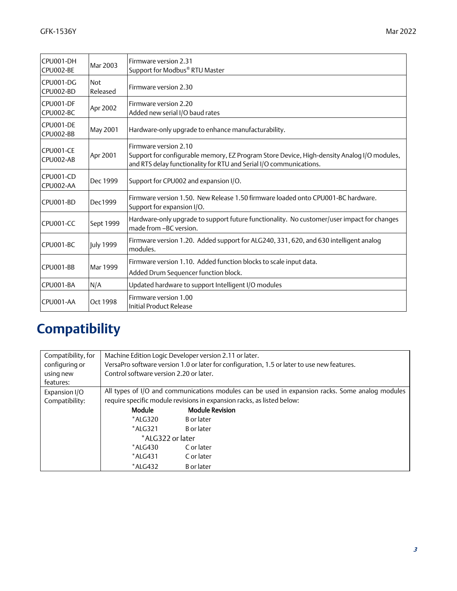| CPU001-DH              | Mar 2003               | Firmware version 2.31                                                                                                                                                                     |  |
|------------------------|------------------------|-------------------------------------------------------------------------------------------------------------------------------------------------------------------------------------------|--|
| CPU002-BE              |                        | Support for Modbus® RTU Master                                                                                                                                                            |  |
| CPU001-DG<br>CPU002-BD | <b>Not</b><br>Released | Firmware version 2.30                                                                                                                                                                     |  |
| CPU001-DF<br>CPU002-BC | Apr 2002               | Firmware version 2.20<br>Added new serial I/O baud rates                                                                                                                                  |  |
| CPU001-DE<br>CPU002-BB | May 2001               | Hardware-only upgrade to enhance manufacturability.                                                                                                                                       |  |
| CPU001-CE<br>CPU002-AB | Apr 2001               | Firmware version 2.10<br>Support for configurable memory, EZ Program Store Device, High-density Analog I/O modules,<br>and RTS delay functionality for RTU and Serial I/O communications. |  |
| CPU001-CD<br>CPU002-AA | Dec 1999               | Support for CPU002 and expansion I/O.                                                                                                                                                     |  |
| CPU001-BD              | Dec1999                | Firmware version 1.50. New Release 1.50 firmware loaded onto CPU001-BC hardware.<br>Support for expansion I/O.                                                                            |  |
| CPU001-CC              | Sept 1999              | Hardware-only upgrade to support future functionality. No customer/user impact for changes<br>made from -BC version.                                                                      |  |
| CPU001-BC              | <b>July 1999</b>       | Firmware version 1.20. Added support for ALG240, 331, 620, and 630 intelligent analog<br>modules.                                                                                         |  |
| CPU001-BB              | Mar 1999               | Firmware version 1.10. Added function blocks to scale input data.<br>Added Drum Sequencer function block.                                                                                 |  |
| CPU001-BA              | N/A                    | Updated hardware to support Intelligent I/O modules                                                                                                                                       |  |
| CPU001-AA              | Oct 1998               | Firmware version 1.00<br>Initial Product Release                                                                                                                                          |  |

# *Compatibility*

| Compatibility, for<br>configuring or<br>using new | Machine Edition Logic Developer version 2.11 or later.<br>VersaPro software version 1.0 or later for configuration, 1.5 or later to use new features.<br>Control software version 2.20 or later. |                                                                                                 |  |  |
|---------------------------------------------------|--------------------------------------------------------------------------------------------------------------------------------------------------------------------------------------------------|-------------------------------------------------------------------------------------------------|--|--|
| features:                                         |                                                                                                                                                                                                  |                                                                                                 |  |  |
| Expansion I/O                                     |                                                                                                                                                                                                  | All types of I/O and communications modules can be used in expansion racks. Some analog modules |  |  |
| Compatibility:                                    | require specific module revisions in expansion racks, as listed below:                                                                                                                           |                                                                                                 |  |  |
|                                                   | <b>Module</b><br><b>Module Revision</b>                                                                                                                                                          |                                                                                                 |  |  |
|                                                   | $*$ ALG320                                                                                                                                                                                       | B or later                                                                                      |  |  |
|                                                   | $*ALG321$                                                                                                                                                                                        | B or later                                                                                      |  |  |
|                                                   | *ALG322 or later                                                                                                                                                                                 |                                                                                                 |  |  |
|                                                   | $*ALG430$                                                                                                                                                                                        | C or later                                                                                      |  |  |
|                                                   | *ALG431                                                                                                                                                                                          | C or later                                                                                      |  |  |
|                                                   | *ALG432                                                                                                                                                                                          | B or later                                                                                      |  |  |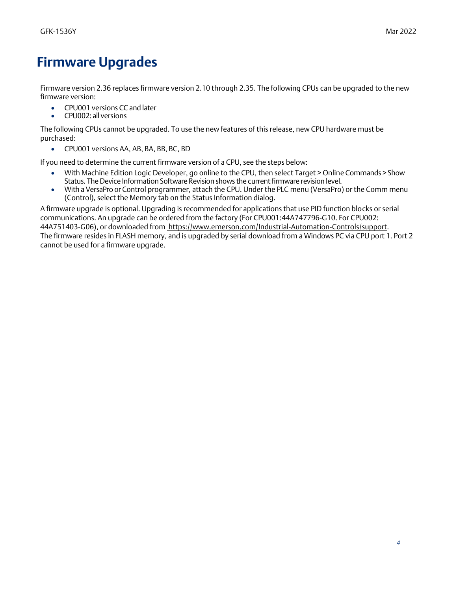## *Firmware Upgrades*

Firmware version 2.36 replaces firmware version 2.10 through 2.35. The following CPUs can be upgraded to the new firmware version:

- CPU001 versions CC and later
- CPU002: all versions

The following CPUs cannot be upgraded. To use the new features of this release, new CPU hardware must be purchased:

• CPU001 versions AA, AB, BA, BB, BC, BD

If you need to determine the current firmware version of a CPU, see the steps below:

- With Machine Edition Logic Developer, go online to the CPU, then select Target > Online Commands > Show Status. The Device Information Software Revision shows the current firmware revision level.
- With a VersaPro or Control programmer, attach the CPU. Under the PLC menu (VersaPro) or the Comm menu (Control), select the Memory tab on the Status Information dialog.

A firmware upgrade is optional. Upgrading is recommended for applications that use PID function blocks or serial communications. An upgrade can be ordered from the factory (For CPU001:44A747796-G10. For CPU002: 44A751403-G06), or downloaded from [https://www.emerson.com/Industrial-Automation-Controls/support.](https://www.emerson.com/Industrial-Automation-Controls/support) The firmware resides in FLASH memory, and is upgraded by serial download from a Windows PC via CPU port 1. Port 2 cannot be used for a firmware upgrade.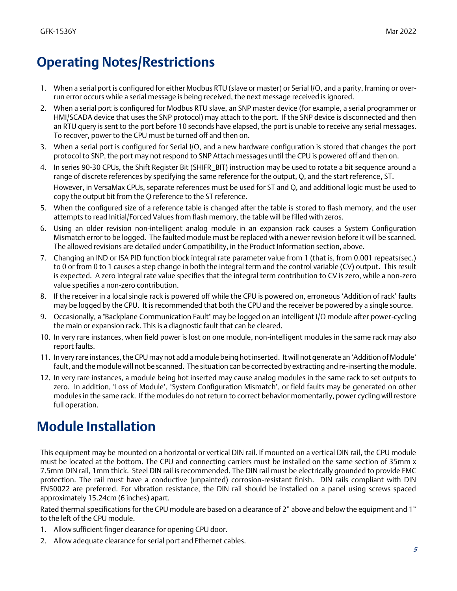## *Operating Notes/Restrictions*

- 1. When a serial port is configured for either Modbus RTU (slave or master) or Serial I/O, and a parity, framing or overrun error occurs while a serial message is being received, the next message received is ignored.
- 2. When a serial port is configured for Modbus RTU slave, an SNP master device (for example, a serial programmer or HMI/SCADA device that uses the SNP protocol) may attach to the port. If the SNP device is disconnected and then an RTU query is sent to the port before 10 seconds have elapsed, the port is unable to receive any serial messages. To recover, power to the CPU must be turned off and then on.
- 3. When a serial port is configured for Serial I/O, and a new hardware configuration is stored that changes the port protocol to SNP, the port may not respond to SNP Attach messages until the CPU is powered off and then on.
- 4. In series 90-30 CPUs, the Shift Register Bit (SHIFR\_BIT) instruction may be used to rotate a bit sequence around a range of discrete references by specifying the same reference for the output, Q, and the start reference, ST. However, in VersaMax CPUs, separate references must be used for ST and Q, and additional logic must be used to copy the output bit from the Q reference to the ST reference.
- 5. When the configured size of a reference table is changed after the table is stored to flash memory, and the user attempts to read Initial/Forced Values from flash memory, the table will be filled with zeros.
- 6. Using an older revision non-intelligent analog module in an expansion rack causes a System Configuration Mismatch error to be logged. The faulted module must be replaced with a newer revision before it will be scanned. The allowed revisions are detailed under Compatibility, in the Product Information section, above.
- 7. Changing an IND or ISA PID function block integral rate parameter value from 1 (that is, from 0.001 repeats/sec.) to 0 or from 0 to 1 causes a step change in both the integral term and the control variable (CV) output. This result is expected. A zero integral rate value specifies that the integral term contribution to CV is zero, while a non-zero value specifies a non-zero contribution.
- 8. If the receiver in a local single rack is powered off while the CPU is powered on, erroneous 'Addition of rack' faults may be logged by the CPU. It is recommended that both the CPU and the receiver be powered by a single source.
- 9. Occasionally, a "Backplane Communication Fault" may be logged on an intelligent I/O module after power-cycling the main or expansion rack. This is a diagnostic fault that can be cleared.
- 10. In very rare instances, when field power is lost on one module, non-intelligent modules in the same rack may also report faults.
- 11. In very rare instances, the CPU may not add a module being hot inserted. It will not generate an 'Addition of Module' fault, and the module will not be scanned. The situation can be corrected by extracting and re-inserting the module.
- 12. In very rare instances, a module being hot inserted may cause analog modules in the same rack to set outputs to zero. In addition, 'Loss of Module', 'System Configuration Mismatch', or field faults may be generated on other modules in the same rack. If the modules do not return to correct behavior momentarily, power cycling will restore full operation.

### *Module Installation*

This equipment may be mounted on a horizontal or vertical DIN rail. If mounted on a vertical DIN rail, the CPU module must be located at the bottom. The CPU and connecting carriers must be installed on the same section of 35mm x 7.5mm DIN rail, 1mm thick. Steel DIN rail is recommended. The DIN rail must be electrically grounded to provide EMC protection. The rail must have a conductive (unpainted) corrosion-resistant finish. DIN rails compliant with DIN EN50022 are preferred. For vibration resistance, the DIN rail should be installed on a panel using screws spaced approximately 15.24cm (6 inches) apart.

Rated thermal specifications for the CPU module are based on a clearance of 2" above and below the equipment and 1" to the left of the CPU module.

- 1. Allow sufficient finger clearance for opening CPU door.
- 2. Allow adequate clearance for serial port and Ethernet cables.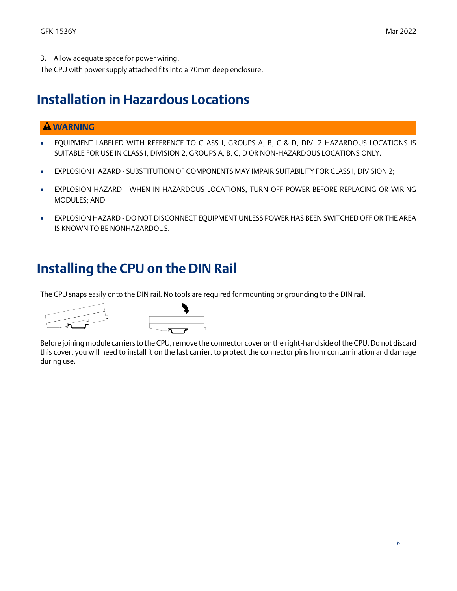3. Allow adequate space for power wiring.

The CPU with power supply attached fits into a 70mm deep enclosure.

#### *Installation in Hazardous Locations*

#### **WARNING**

- EQUIPMENT LABELED WITH REFERENCE TO CLASS I, GROUPS A, B, C & D, DIV. 2 HAZARDOUS LOCATIONS IS SUITABLE FOR USE IN CLASS I, DIVISION 2, GROUPS A, B, C, D OR NON-HAZARDOUS LOCATIONS ONLY.
- EXPLOSION HAZARD SUBSTITUTION OF COMPONENTS MAY IMPAIR SUITABILITY FOR CLASS I, DIVISION 2;
- EXPLOSION HAZARD WHEN IN HAZARDOUS LOCATIONS, TURN OFF POWER BEFORE REPLACING OR WIRING MODULES; AND
- EXPLOSION HAZARD DO NOT DISCONNECT EQUIPMENT UNLESS POWER HAS BEEN SWITCHED OFF OR THE AREA IS KNOWN TO BE NONHAZARDOUS.

### *Installing the CPU on the DIN Rail*

The CPU snaps easily onto the DIN rail. No tools are required for mounting or grounding to the DIN rail.



Before joining module carriers to the CPU, remove the connector cover on the right-hand side of the CPU. Do not discard this cover, you will need to install it on the last carrier, to protect the connector pins from contamination and damage during use.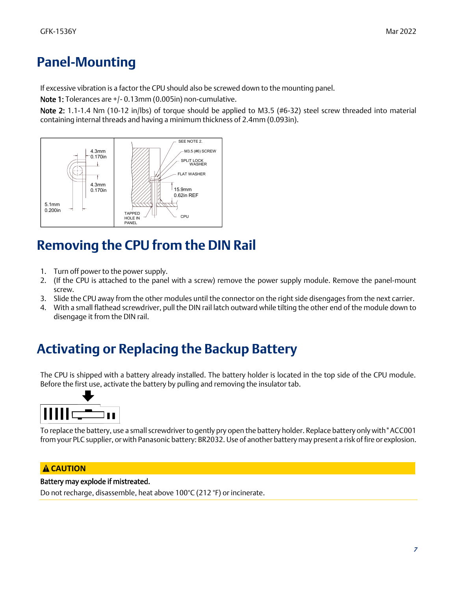## *Panel-Mounting*

If excessive vibration is a factor the CPU should also be screwed down to the mounting panel.

Note 1: Tolerances are +/- 0.13mm (0.005in) non-cumulative.

Note 2: 1.1-1.4 Nm (10-12 in/lbs) of torque should be applied to M3.5 (#6-32) steel screw threaded into material containing internal threads and having a minimum thickness of 2.4mm (0.093in).



## *Removing the CPU from the DIN Rail*

- 1. Turn off power to the power supply.
- 2. (If the CPU is attached to the panel with a screw) remove the power supply module. Remove the panel-mount screw.
- 3. Slide the CPU away from the other modules until the connector on the right side disengages from the next carrier.
- 4. With a small flathead screwdriver, pull the DIN rail latch outward while tilting the other end of the module down to disengage it from the DIN rail.

## *Activating or Replacing the Backup Battery*

The CPU is shipped with a battery already installed. The battery holder is located in the top side of the CPU module. Before the first use, activate the battery by pulling and removing the insulator tab.



To replace the battery, use a small screwdriver to gently pry open the battery holder. Replace battery only with\*ACC001 from your PLC supplier, or with Panasonic battery: BR2032. Use of another battery may present a risk of fire or explosion.

#### **CAUTION**

#### Battery may explode if mistreated.

Do not recharge, disassemble, heat above 100°C (212 °F) or incinerate.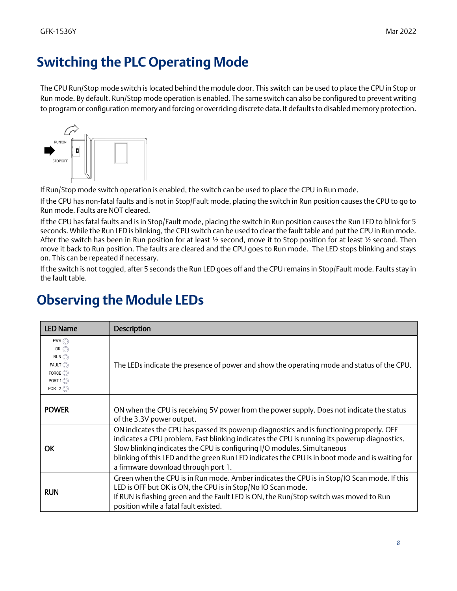## *Switching the PLC Operating Mode*

The CPU Run/Stop mode switch is located behind the module door. This switch can be used to place the CPU in Stop or Run mode. By default. Run/Stop mode operation is enabled. The same switch can also be configured to prevent writing to program or configuration memory and forcing or overriding discrete data. It defaults to disabled memory protection.



If Run/Stop mode switch operation is enabled, the switch can be used to place the CPU in Run mode.

If the CPU has non-fatal faults and is not in Stop/Fault mode, placing the switch in Run position causes the CPU to go to Run mode. Faults are NOT cleared.

If the CPU has fatal faults and is in Stop/Fault mode, placing the switch in Run position causes the Run LED to blink for 5 seconds. While the Run LED is blinking, the CPU switch can be used to clear the fault table and put the CPU in Run mode. After the switch has been in Run position for at least  $\frac{1}{2}$  second, move it to Stop position for at least  $\frac{1}{2}$  second. Then move it back to Run position. The faults are cleared and the CPU goes to Run mode. The LED stops blinking and stays on. This can be repeated if necessary.

If the switch is not toggled, after 5 seconds the Run LED goes off and the CPU remains in Stop/Fault mode. Faults stay in the fault table.

#### *Observing the Module LEDs*

| <b>LED Name</b>                                                                                                                 | <b>Description</b>                                                                                                                                                                                                                                                                                                                                                                                             |
|---------------------------------------------------------------------------------------------------------------------------------|----------------------------------------------------------------------------------------------------------------------------------------------------------------------------------------------------------------------------------------------------------------------------------------------------------------------------------------------------------------------------------------------------------------|
| $PWR$ $\odot$<br>OK $\odot$<br>$RUN$ $\odot$<br>$FAULT$ $\odot$<br>FORCE $\odot$<br>PORT $1$ $\odot$<br>PORT $2$ $\circledcirc$ | The LEDs indicate the presence of power and show the operating mode and status of the CPU.                                                                                                                                                                                                                                                                                                                     |
| <b>POWER</b>                                                                                                                    | ON when the CPU is receiving 5V power from the power supply. Does not indicate the status<br>of the 3.3V power output.                                                                                                                                                                                                                                                                                         |
| OK                                                                                                                              | ON indicates the CPU has passed its powerup diagnostics and is functioning properly. OFF<br>indicates a CPU problem. Fast blinking indicates the CPU is running its powerup diagnostics.<br>Slow blinking indicates the CPU is configuring I/O modules. Simultaneous<br>blinking of this LED and the green Run LED indicates the CPU is in boot mode and is waiting for<br>a firmware download through port 1. |
| <b>RUN</b>                                                                                                                      | Green when the CPU is in Run mode. Amber indicates the CPU is in Stop/IO Scan mode. If this<br>LED is OFF but OK is ON, the CPU is in Stop/No IO Scan mode.<br>If RUN is flashing green and the Fault LED is ON, the Run/Stop switch was moved to Run<br>position while a fatal fault existed.                                                                                                                 |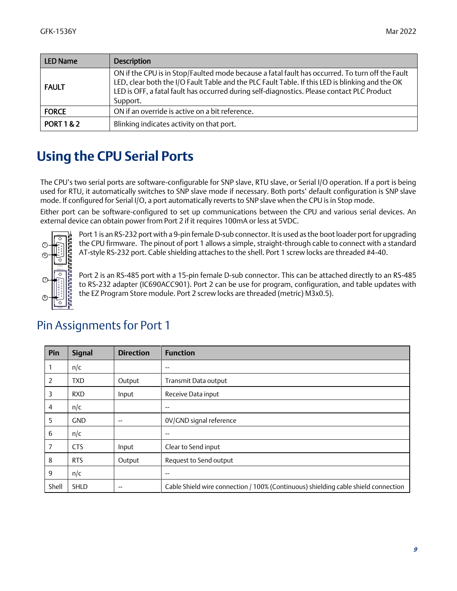| LED Name              | <b>Description</b>                                                                                                                                                                                                                                                                                           |  |
|-----------------------|--------------------------------------------------------------------------------------------------------------------------------------------------------------------------------------------------------------------------------------------------------------------------------------------------------------|--|
| <b>FAULT</b>          | ON if the CPU is in Stop/Faulted mode because a fatal fault has occurred. To turn off the Fault<br>LED, clear both the I/O Fault Table and the PLC Fault Table. If this LED is blinking and the OK<br>LED is OFF, a fatal fault has occurred during self-diagnostics. Please contact PLC Product<br>Support. |  |
| <b>FORCE</b>          | ON if an override is active on a bit reference.                                                                                                                                                                                                                                                              |  |
| <b>PORT 1 &amp; 2</b> | Blinking indicates activity on that port.                                                                                                                                                                                                                                                                    |  |

### *Using the CPU Serial Ports*

The CPU's two serial ports are software-configurable for SNP slave, RTU slave, or Serial I/O operation. If a port is being used for RTU, it automatically switches to SNP slave mode if necessary. Both ports' default configuration is SNP slave mode. If configured for Serial I/O, a port automatically reverts to SNP slave when the CPU is in Stop mode.

Either port can be software-configured to set up communications between the CPU and various serial devices. An external device can obtain power from Port 2 if it requires 100mA or less at 5VDC.



Port 1 is an RS-232 port with a 9-pin female D-sub connector. It is used as the boot loader port for upgrading the CPU firmware. The pinout of port 1 allows a simple, straight-through cable to connect with a standard AT-style RS-232 port. Cable shielding attaches to the shell. Port 1 screw locks are threaded #4-40.

Port 2 is an RS-485 port with a 15-pin female D-sub connector. This can be attached directly to an RS-485 to RS-232 adapter (IC690ACC901). Port 2 can be use for program, configuration, and table updates with the EZ Program Store module. Port 2 screw locks are threaded (metric) M3x0.5).

| Pin   | <b>Signal</b> | <b>Direction</b> | <b>Function</b>                                                                    |
|-------|---------------|------------------|------------------------------------------------------------------------------------|
|       | n/c           |                  | $\overline{\phantom{m}}$                                                           |
| 2     | <b>TXD</b>    | Output           | Transmit Data output                                                               |
| 3     | <b>RXD</b>    | Input            | Receive Data input                                                                 |
| 4     | n/c           |                  | --                                                                                 |
| 5     | <b>GND</b>    | $- -$            | 0V/GND signal reference                                                            |
| 6     | n/c           |                  | $- -$                                                                              |
| 7     | <b>CTS</b>    | Input            | Clear to Send input                                                                |
| 8     | <b>RTS</b>    | Output           | Request to Send output                                                             |
| 9     | n/c           |                  | --                                                                                 |
| Shell | <b>SHLD</b>   | $- -$            | Cable Shield wire connection / 100% (Continuous) shielding cable shield connection |

#### Pin Assignments for Port 1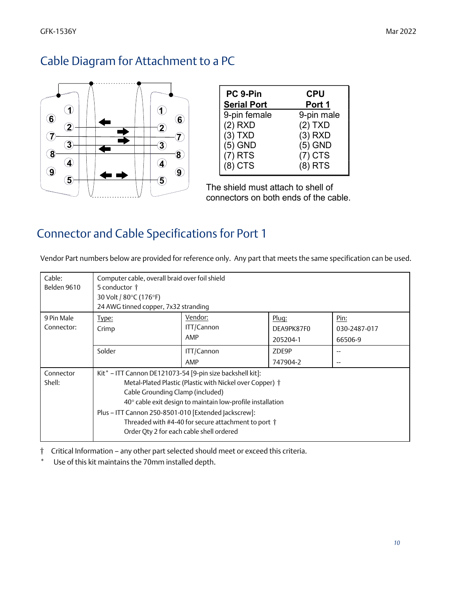#### Cable Diagram for Attachment to a PC



| PC 9-Pin           | <b>CPU</b> |
|--------------------|------------|
| <b>Serial Port</b> | Port 1     |
| 9-pin female       | 9-pin male |
| $(2)$ RXD          | $(2)$ TXD  |
| $(3)$ TXD          | $(3)$ RXD  |
| $(5)$ GND          | $(5)$ GND  |
| $(7)$ RTS          | $(7)$ CTS  |
| $(8)$ CTS          | $(8)$ RTS  |

The shield must attach to shell of connectors on both ends of the cable.

### Connector and Cable Specifications for Port 1

Vendor Part numbers below are provided for reference only. Any part that meets the same specification can be used.

| Cable:      | Computer cable, overall braid over foil shield             |            |            |                          |
|-------------|------------------------------------------------------------|------------|------------|--------------------------|
| Belden 9610 | 5 conductor †                                              |            |            |                          |
|             | 30 Volt / 80°C (176°F)                                     |            |            |                          |
|             | 24 AWG tinned copper, 7x32 stranding                       |            |            |                          |
| 9 Pin Male  | Type:                                                      | Vendor:    | Pluq:      | Pin:                     |
| Connector:  | Crimp                                                      | ITT/Cannon | DEA9PK87F0 | 030-2487-017             |
|             |                                                            | AMP        | 205204-1   | 66506-9                  |
|             | Solder                                                     | ITT/Cannon | ZDE9P      | --                       |
|             |                                                            | AMP        | 747904-2   | $\overline{\phantom{m}}$ |
| Connector   | Kit* - ITT Cannon DE121073-54 [9-pin size backshell kit]:  |            |            |                          |
| Shell:      | Metal-Plated Plastic (Plastic with Nickel over Copper) †   |            |            |                          |
|             | Cable Grounding Clamp (included)                           |            |            |                          |
|             | 40° cable exit design to maintain low-profile installation |            |            |                          |
|             | Plus - ITT Cannon 250-8501-010 [Extended Jackscrew]:       |            |            |                          |
|             | Threaded with #4-40 for secure attachment to port †        |            |            |                          |
|             |                                                            |            |            |                          |
|             | Order Qty 2 for each cable shell ordered                   |            |            |                          |

† Critical Information – any other part selected should meet or exceed this criteria.

Use of this kit maintains the 70mm installed depth.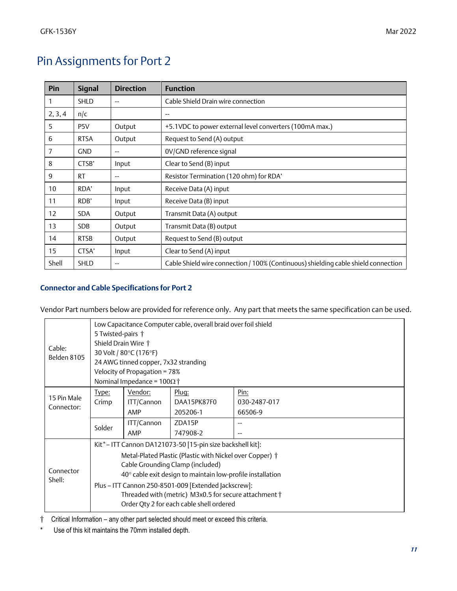### Pin Assignments for Port 2

| Pin     | <b>Signal</b>    | <b>Direction</b> | <b>Function</b>                                                                    |
|---------|------------------|------------------|------------------------------------------------------------------------------------|
|         | <b>SHLD</b>      | $- -$            | Cable Shield Drain wire connection                                                 |
| 2, 3, 4 | n/c              |                  | $- -$                                                                              |
| 5.      | P <sub>5</sub> V | Output           | +5.1VDC to power external level converters (100mA max.)                            |
| 6       | <b>RTSA</b>      | Output           | Request to Send (A) output                                                         |
| 7       | <b>GND</b>       |                  | 0V/GND reference signal                                                            |
| 8       | CTSB'            | Input            | Clear to Send (B) input                                                            |
| 9       | <b>RT</b>        | --               | Resistor Termination (120 ohm) for RDA'                                            |
| 10      | RDA'             | Input            | Receive Data (A) input                                                             |
| 11      | RDB'             | Input            | Receive Data (B) input                                                             |
| 12      | <b>SDA</b>       | Output           | Transmit Data (A) output                                                           |
| 13      | <b>SDB</b>       | Output           | Transmit Data (B) output                                                           |
| 14      | <b>RTSB</b>      | Output           | Request to Send (B) output                                                         |
| 15      | CTSA'            | Input            | Clear to Send (A) input                                                            |
| Shell   | <b>SHLD</b>      |                  | Cable Shield wire connection / 100% (Continuous) shielding cable shield connection |

#### *Connector and Cable Specifications for Port 2*

Vendor Part numbers below are provided for reference only. Any part that meets the same specification can be used.

| Cable:<br>Belden 8105 | Low Capacitance Computer cable, overall braid over foil shield<br>5 Twisted-pairs †<br>Shield Drain Wire †<br>30 Volt / 80°C (176°F)<br>24 AWG tinned copper, 7x32 stranding |                                                                    |             |              |  |
|-----------------------|------------------------------------------------------------------------------------------------------------------------------------------------------------------------------|--------------------------------------------------------------------|-------------|--------------|--|
|                       |                                                                                                                                                                              | Velocity of Propagation = 78%<br>Nominal Impedance = $100\Omega$ † |             |              |  |
|                       | Type:                                                                                                                                                                        | Vendor:                                                            | Plug:       | Pin:         |  |
| 15 Pin Male           | Crimp                                                                                                                                                                        | ITT/Cannon                                                         | DAA15PK87F0 | 030-2487-017 |  |
| Connector:            |                                                                                                                                                                              | AMP                                                                | 205206-1    | 66506-9      |  |
|                       | Solder                                                                                                                                                                       | ITT/Cannon                                                         | ZDA15P      | --           |  |
|                       |                                                                                                                                                                              | AMP                                                                | 747908-2    |              |  |
|                       | Kit*-ITT Cannon DA121073-50 [15-pin size backshell kit]:                                                                                                                     |                                                                    |             |              |  |
|                       | Metal-Plated Plastic (Plastic with Nickel over Copper) †                                                                                                                     |                                                                    |             |              |  |
|                       | Cable Grounding Clamp (included)                                                                                                                                             |                                                                    |             |              |  |
| Connector<br>Shell:   | $40^{\circ}$ cable exit design to maintain low-profile installation                                                                                                          |                                                                    |             |              |  |
|                       | Plus - ITT Cannon 250-8501-009 [Extended Jackscrew]:                                                                                                                         |                                                                    |             |              |  |
|                       |                                                                                                                                                                              | Threaded with (metric) M3x0.5 for secure attachment †              |             |              |  |
|                       | Order Qty 2 for each cable shell ordered                                                                                                                                     |                                                                    |             |              |  |

† Critical Information – any other part selected should meet or exceed this criteria.

\* Use of this kit maintains the 70mm installed depth.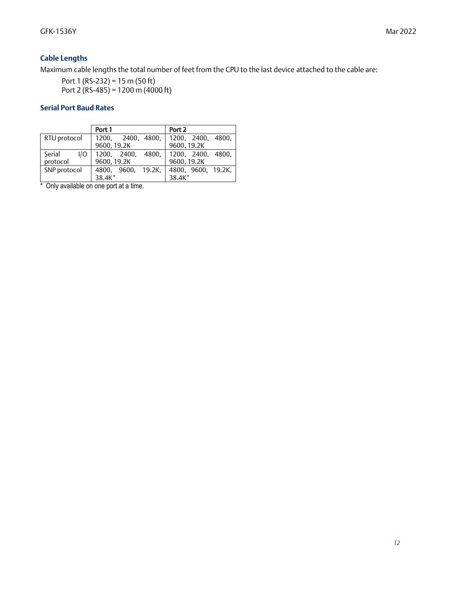#### *Cable Lengths*

Maximum cable lengths the total number of feet from the CPU to the last device attached to the cable are:

Port 1 (RS-232) = 15 m (50 ft) Port 2 (RS-485) = 1200 m (4000 ft)

#### *Serial Port Baud Rates*

|               | Port 1             | Port 2             |
|---------------|--------------------|--------------------|
| RTU protocol  | 1200, 2400, 4800,  | 1200, 2400, 4800,  |
|               | 9600, 19.2K        | 9600, 19.2K        |
| Serial<br>1/O | 1200, 2400, 4800,  | 1200, 2400, 4800,  |
| protocol      | 9600, 19.2K        | 9600, 19.2K        |
| SNP protocol  | 4800. 9600. 19.2K. | 4800, 9600, 19.2K, |
|               | 38.4K*             | 38.4K*             |

\* Only available on one port at a time.